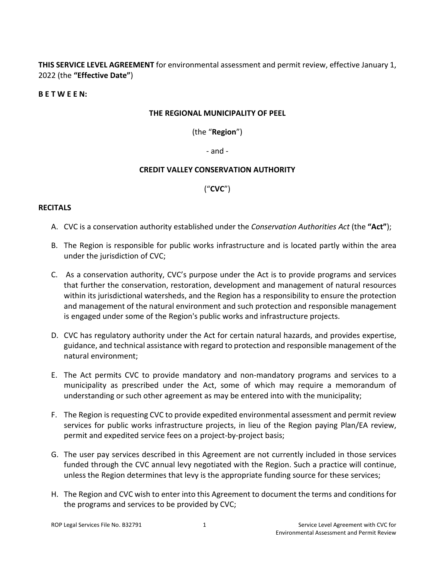**THIS SERVICE LEVEL AGREEMENT** for environmental assessment and permit review, effective January 1, 2022 (the **"Effective Date"**)

#### **B E T W E E N:**

#### **THE REGIONAL MUNICIPALITY OF PEEL**

(the "**Region**")

- and -

#### **CREDIT VALLEY CONSERVATION AUTHORITY**

### ("**CVC**")

#### <span id="page-0-0"></span>**RECITALS**

- A. CVC is a conservation authority established under the *Conservation Authorities Act* (the **"Act"**);
- B. The Region is responsible for public works infrastructure and is located partly within the area under the jurisdiction of CVC;
- C. As a conservation authority, CVC's purpose under the Act is to provide programs and services that further the conservation, restoration, development and management of natural resources within its jurisdictional watersheds, and the Region has a responsibility to ensure the protection and management of the natural environment and such protection and responsible management is engaged under some of the Region's public works and infrastructure projects.
- D. CVC has regulatory authority under the Act for certain natural hazards, and provides expertise, guidance, and technical assistance with regard to protection and responsible management of the natural environment;
- E. The Act permits CVC to provide mandatory and non-mandatory programs and services to a municipality as prescribed under the Act, some of which may require a memorandum of understanding or such other agreement as may be entered into with the municipality;
- F. The Region is requesting CVC to provide expedited environmental assessment and permit review services for public works infrastructure projects, in lieu of the Region paying Plan/EA review, permit and expedited service fees on a project-by-project basis;
- G. The user pay services described in this Agreement are not currently included in those services funded through the CVC annual levy negotiated with the Region. Such a practice will continue, unless the Region determines that levy is the appropriate funding source for these services;
- H. The Region and CVC wish to enter into this Agreement to document the terms and conditions for the programs and services to be provided by CVC;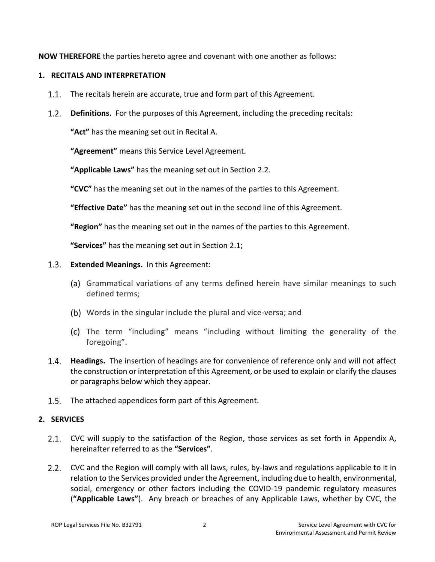**NOW THEREFORE** the parties hereto agree and covenant with one another as follows:

# **1. RECITALS AND INTERPRETATION**

- $1.1.$ The recitals herein are accurate, true and form part of this Agreement.
- **Definitions.** For the purposes of this Agreement, including the preceding recitals:

**"Act"** has the meaning set out in Recital [A.](#page-0-0)

**"Agreement"** means this Service Level Agreement.

**"Applicable Laws"** has the meaning set out in Sectio[n 2.2.](#page-1-0)

**"CVC"** has the meaning set out in the names of the parties to this Agreement.

**"Effective Date"** has the meaning set out in the second line of this Agreement.

**"Region"** has the meaning set out in the names of the parties to this Agreement.

**"Services"** has the meaning set out in Section [2.1;](#page-1-1)

- **Extended Meanings.** In this Agreement:
	- (a) Grammatical variations of any terms defined herein have similar meanings to such defined terms;
	- Words in the singular include the plural and vice-versa; and
	- The term "including" means "including without limiting the generality of the foregoing".
- **Headings.** The insertion of headings are for convenience of reference only and will not affect the construction or interpretation of this Agreement, or be used to explain or clarify the clauses or paragraphs below which they appear.
- 1.5. The attached appendices form part of this Agreement.

# **2. SERVICES**

- <span id="page-1-1"></span>2.1. CVC will supply to the satisfaction of the Region, those services as set forth in Appendix [A,](#page-11-0) hereinafter referred to as the **"Services"**.
- <span id="page-1-0"></span>2.2. CVC and the Region will comply with all laws, rules, by-laws and regulations applicable to it in relation to the Services provided under the Agreement, including due to health, environmental, social, emergency or other factors including the COVID-19 pandemic regulatory measures (**"Applicable Laws"**). Any breach or breaches of any Applicable Laws, whether by CVC, the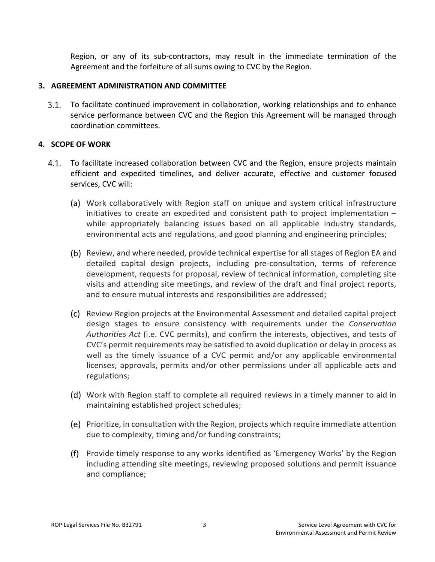Region, or any of its sub-contractors, may result in the immediate termination of the Agreement and the forfeiture of all sums owing to CVC by the Region.

#### **3. AGREEMENT ADMINISTRATION AND COMMITTEE**

To facilitate continued improvement in collaboration, working relationships and to enhance  $3.1.$ service performance between CVC and the Region this Agreement will be managed through coordination committees.

# **4. SCOPE OF WORK**

- <span id="page-2-0"></span>To facilitate increased collaboration between CVC and the Region, ensure projects maintain 4.1. efficient and expedited timelines, and deliver accurate, effective and customer focused services, CVC will:
	- Work collaboratively with Region staff on unique and system critical infrastructure initiatives to create an expedited and consistent path to project implementation – while appropriately balancing issues based on all applicable industry standards, environmental acts and regulations, and good planning and engineering principles;
	- (b) Review, and where needed, provide technical expertise for all stages of Region EA and detailed capital design projects, including pre-consultation, terms of reference development, requests for proposal, review of technical information, completing site visits and attending site meetings, and review of the draft and final project reports, and to ensure mutual interests and responsibilities are addressed;
	- Review Region projects at the Environmental Assessment and detailed capital project design stages to ensure consistency with requirements under the *Conservation Authorities Act* (i.e. CVC permits), and confirm the interests, objectives, and tests of CVC's permit requirements may be satisfied to avoid duplication or delay in process as well as the timely issuance of a CVC permit and/or any applicable environmental licenses, approvals, permits and/or other permissions under all applicable acts and regulations;
	- Work with Region staff to complete all required reviews in a timely manner to aid in maintaining established project schedules;
	- Prioritize, in consultation with the Region, projects which require immediate attention due to complexity, timing and/or funding constraints;
	- Provide timely response to any works identified as 'Emergency Works' by the Region including attending site meetings, reviewing proposed solutions and permit issuance and compliance;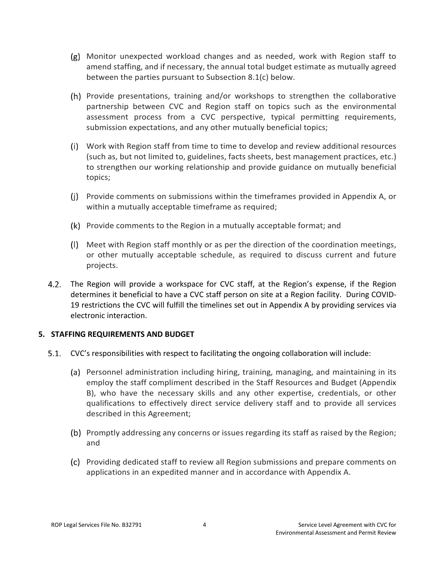- <span id="page-3-0"></span> $(g)$  Monitor unexpected workload changes and as needed, work with Region staff to amend staffing, and if necessary, the annual total budget estimate as mutually agreed between the parties pursuant to Subsection [8.1](#page-5-0)[\(c\) below.](#page-5-1)
- Provide presentations, training and/or workshops to strengthen the collaborative partnership between CVC and Region staff on topics such as the environmental assessment process from a CVC perspective, typical permitting requirements, submission expectations, and any other mutually beneficial topics;
- Work with Region staff from time to time to develop and review additional resources (such as, but not limited to, guidelines, facts sheets, best management practices, etc.) to strengthen our working relationship and provide guidance on mutually beneficial topics;
- $(i)$  Provide comments on submissions within the timeframes provided in Appendix [A,](#page-11-0) or within a mutually acceptable timeframe as required;
- (k) Provide comments to the Region in a mutually acceptable format; and
- Meet with Region staff monthly or as per the direction of the coordination meetings, or other mutually acceptable schedule, as required to discuss current and future projects.
- 4.2. The Region will provide a workspace for CVC staff, at the Region's expense, if the Region determines it beneficial to have a CVC staff person on site at a Region facility. During COVID-19 restrictions the CVC will fulfill the timelines set out in Appendix [A](#page-11-0) by providing services via electronic interaction.

# **5. STAFFING REQUIREMENTS AND BUDGET**

- CVC's responsibilities with respect to facilitating the ongoing collaboration will include:
	- (a) Personnel administration including hiring, training, managing, and maintaining in its employ the staff compliment described in the Staff Resources and Budget (Appendix [B\)](#page-27-0), who have the necessary skills and any other expertise, credentials, or other qualifications to effectively direct service delivery staff and to provide all services described in this Agreement;
	- (b) Promptly addressing any concerns or issues regarding its staff as raised by the Region; and
	- Providing dedicated staff to review all Region submissions and prepare comments on applications in an expedited manner and in accordance with Appendix [A.](#page-11-0)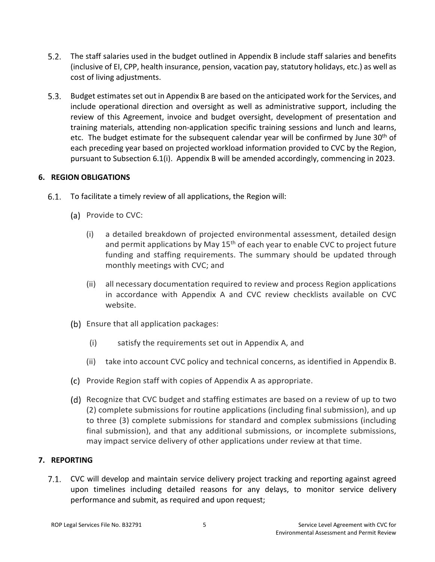- $5.2.$ The staff salaries used in the budget outlined in Appendix [B](#page-27-0) include staff salaries and benefits (inclusive of EI, CPP, health insurance, pension, vacation pay, statutory holidays, etc.) as well as cost of living adjustments.
- Budget estimates set out in Appendi[x B](#page-27-0) are based on the anticipated work for the Services, and include operational direction and oversight as well as administrative support, including the review of this Agreement, invoice and budget oversight, development of presentation and training materials, attending non-application specific training sessions and lunch and learns, etc. The budget estimate for the subsequent calendar year will be confirmed by June  $30<sup>th</sup>$  of each preceding year based on projected workload information provided to CVC by the Region, pursuant to Subsection [6.1\(i\).](#page-4-0) Appendix [B](#page-27-0) will be amended accordingly, commencing in 2023.

# **6. REGION OBLIGATIONS**

- <span id="page-4-0"></span>To facilitate a timely review of all applications, the Region will:
	- (a) Provide to CVC:
		- (i) a detailed breakdown of projected environmental assessment, detailed design and permit applications by May  $15<sup>th</sup>$  of each year to enable CVC to project future funding and staffing requirements. The summary should be updated through monthly meetings with CVC; and
		- (ii) all necessary documentation required to review and process Region applications in accordance with Appendix [A](#page-11-0) and CVC review checklists available on CVC website.
	- (b) Ensure that all application packages:
		- (i) satisfy the requirements set out in Appendix [A,](#page-11-0) and
		- (ii) take into account CVC policy and technical concerns, as identified in Appendix [B.](#page-27-0)
	- (c) Provide Region staff with copies of [A](#page-11-0)ppendix A as appropriate.
	- (d) Recognize that CVC budget and staffing estimates are based on a review of up to two (2) complete submissions for routine applications (including final submission), and up to three (3) complete submissions for standard and complex submissions (including final submission), and that any additional submissions, or incomplete submissions, may impact service delivery of other applications under review at that time.

# **7. REPORTING**

7.1. CVC will develop and maintain service delivery project tracking and reporting against agreed upon timelines including detailed reasons for any delays, to monitor service delivery performance and submit, as required and upon request;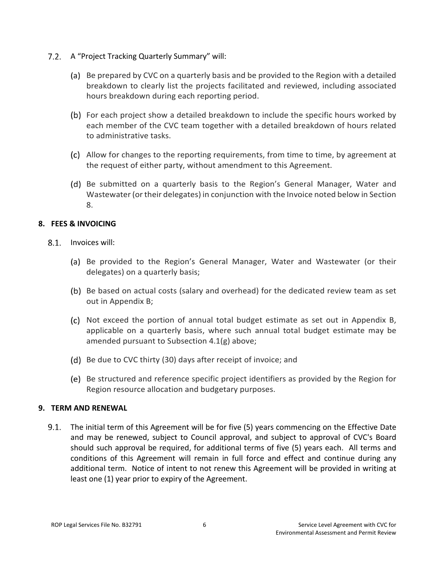- 7.2. A "Project Tracking Quarterly Summary" will:
	- (a) Be prepared by CVC on a quarterly basis and be provided to the Region with a detailed breakdown to clearly list the projects facilitated and reviewed, including associated hours breakdown during each reporting period.
	- (b) For each project show a detailed breakdown to include the specific hours worked by each member of the CVC team together with a detailed breakdown of hours related to administrative tasks.
	- Allow for changes to the reporting requirements, from time to time, by agreement at the request of either party, without amendment to this Agreement.
	- (d) Be submitted on a quarterly basis to the Region's General Manager, Water and Wastewater (or their delegates) in conjunction with the Invoice noted below in Section [8.](#page-5-2)

### <span id="page-5-2"></span>**8. FEES & INVOICING**

- <span id="page-5-1"></span><span id="page-5-0"></span>8.1. Invoices will:
	- (a) Be provided to the Region's General Manager, Water and Wastewater (or their delegates) on a quarterly basis;
	- (b) Be based on actual costs (salary and overhead) for the dedicated review team as set out in Appendix [B;](#page-27-0)
	- $(c)$  Not exceed the portion of annual total budget estimate as set out in Appendix [B,](#page-27-0) applicable on a quarterly basis, where such annual total budget estimate may be amended pursuant to Subsection [4.1](#page-2-0)[\(g\) above;](#page-3-0)
	- (d) Be due to CVC thirty (30) days after receipt of invoice; and
	- (e) Be structured and reference specific project identifiers as provided by the Region for Region resource allocation and budgetary purposes.

#### **9. TERM AND RENEWAL**

 $9.1.$ The initial term of this Agreement will be for five (5) years commencing on the Effective Date and may be renewed, subject to Council approval, and subject to approval of CVC's Board should such approval be required, for additional terms of five (5) years each. All terms and conditions of this Agreement will remain in full force and effect and continue during any additional term. Notice of intent to not renew this Agreement will be provided in writing at least one (1) year prior to expiry of the Agreement.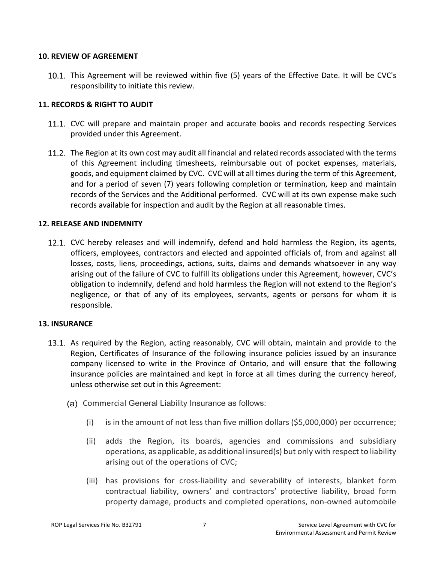#### **10. REVIEW OF AGREEMENT**

10.1. This Agreement will be reviewed within five (5) years of the Effective Date. It will be CVC's responsibility to initiate this review.

#### **11. RECORDS & RIGHT TO AUDIT**

- 11.1. CVC will prepare and maintain proper and accurate books and records respecting Services provided under this Agreement.
- 11.2. The Region at its own cost may audit all financial and related records associated with the terms of this Agreement including timesheets, reimbursable out of pocket expenses, materials, goods, and equipment claimed by CVC. CVC will at all times during the term of this Agreement, and for a period of seven (7) years following completion or termination, keep and maintain records of the Services and the Additional performed. CVC will at its own expense make such records available for inspection and audit by the Region at all reasonable times.

#### **12. RELEASE AND INDEMNITY**

12.1. CVC hereby releases and will indemnify, defend and hold harmless the Region, its agents, officers, employees, contractors and elected and appointed officials of, from and against all losses, costs, liens, proceedings, actions, suits, claims and demands whatsoever in any way arising out of the failure of CVC to fulfill its obligations under this Agreement, however, CVC's obligation to indemnify, defend and hold harmless the Region will not extend to the Region's negligence, or that of any of its employees, servants, agents or persons for whom it is responsible.

#### **13. INSURANCE**

- 13.1. As required by the Region, acting reasonably, CVC will obtain, maintain and provide to the Region, Certificates of Insurance of the following insurance policies issued by an insurance company licensed to write in the Province of Ontario, and will ensure that the following insurance policies are maintained and kept in force at all times during the currency hereof, unless otherwise set out in this Agreement:
	- (a) Commercial General Liability Insurance as follows:
		- (i) is in the amount of not less than five million dollars (\$5,000,000) per occurrence;
		- (ii) adds the Region, its boards, agencies and commissions and subsidiary operations, as applicable, as additional insured(s) but only with respect to liability arising out of the operations of CVC;
		- (iii) has provisions for cross-liability and severability of interests, blanket form contractual liability, owners' and contractors' protective liability, broad form property damage, products and completed operations, non-owned automobile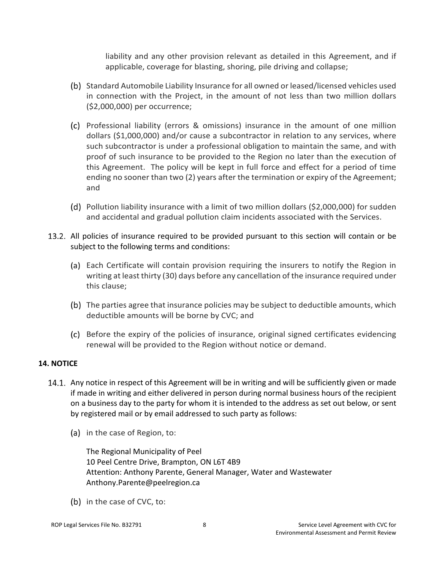liability and any other provision relevant as detailed in this Agreement, and if applicable, coverage for blasting, shoring, pile driving and collapse;

- (b) Standard Automobile Liability Insurance for all owned or leased/licensed vehicles used in connection with the Project, in the amount of not less than two million dollars (\$2,000,000) per occurrence;
- Professional liability (errors & omissions) insurance in the amount of one million dollars (\$1,000,000) and/or cause a subcontractor in relation to any services, where such subcontractor is under a professional obligation to maintain the same, and with proof of such insurance to be provided to the Region no later than the execution of this Agreement. The policy will be kept in full force and effect for a period of time ending no sooner than two (2) years after the termination or expiry of the Agreement; and
- Pollution liability insurance with a limit of two million dollars (\$2,000,000) for sudden and accidental and gradual pollution claim incidents associated with the Services.
- 13.2. All policies of insurance required to be provided pursuant to this section will contain or be subject to the following terms and conditions:
	- (a) Each Certificate will contain provision requiring the insurers to notify the Region in writing at least thirty (30) days before any cancellation of the insurance required under this clause;
	- (b) The parties agree that insurance policies may be subject to deductible amounts, which deductible amounts will be borne by CVC; and
	- Before the expiry of the policies of insurance, original signed certificates evidencing renewal will be provided to the Region without notice or demand.

# **14. NOTICE**

- 14.1. Any notice in respect of this Agreement will be in writing and will be sufficiently given or made if made in writing and either delivered in person during normal business hours of the recipient on a business day to the party for whom it is intended to the address as set out below, or sent by registered mail or by email addressed to such party as follows:
	- (a) in the case of Region, to:

The Regional Municipality of Peel 10 Peel Centre Drive, Brampton, ON L6T 4B9 Attention: Anthony Parente, General Manager, Water and Wastewater Anthony.Parente@peelregion.ca

(b) in the case of CVC, to: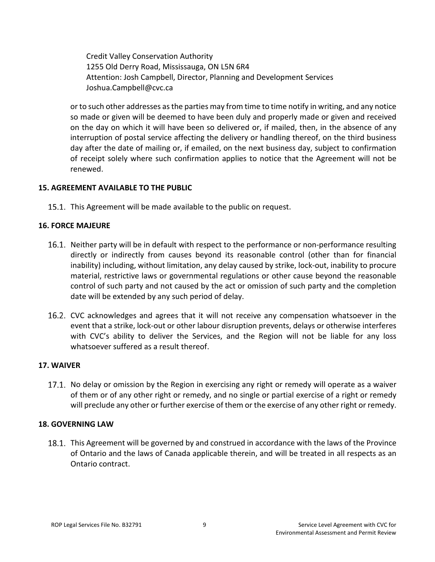Credit Valley Conservation Authority 1255 Old Derry Road, Mississauga, ON L5N 6R4 Attention: Josh Campbell, Director, Planning and Development Services Joshua.Campbell@cvc.ca

or to such other addresses as the parties may from time to time notify in writing, and any notice so made or given will be deemed to have been duly and properly made or given and received on the day on which it will have been so delivered or, if mailed, then, in the absence of any interruption of postal service affecting the delivery or handling thereof, on the third business day after the date of mailing or, if emailed, on the next business day, subject to confirmation of receipt solely where such confirmation applies to notice that the Agreement will not be renewed.

### **15. AGREEMENT AVAILABLE TO THE PUBLIC**

15.1. This Agreement will be made available to the public on request.

#### **16. FORCE MAJEURE**

- 16.1. Neither party will be in default with respect to the performance or non-performance resulting directly or indirectly from causes beyond its reasonable control (other than for financial inability) including, without limitation, any delay caused by strike, lock-out, inability to procure material, restrictive laws or governmental regulations or other cause beyond the reasonable control of such party and not caused by the act or omission of such party and the completion date will be extended by any such period of delay.
- 16.2. CVC acknowledges and agrees that it will not receive any compensation whatsoever in the event that a strike, lock-out or other labour disruption prevents, delays or otherwise interferes with CVC's ability to deliver the Services, and the Region will not be liable for any loss whatsoever suffered as a result thereof.

#### **17. WAIVER**

17.1. No delay or omission by the Region in exercising any right or remedy will operate as a waiver of them or of any other right or remedy, and no single or partial exercise of a right or remedy will preclude any other or further exercise of them or the exercise of any other right or remedy.

#### **18. GOVERNING LAW**

18.1. This Agreement will be governed by and construed in accordance with the laws of the Province of Ontario and the laws of Canada applicable therein, and will be treated in all respects as an Ontario contract.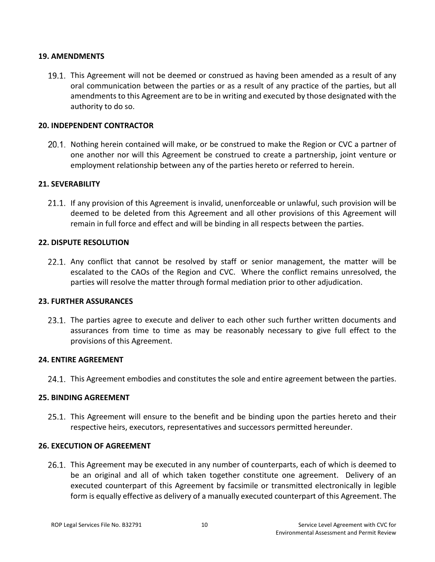#### **19. AMENDMENTS**

19.1. This Agreement will not be deemed or construed as having been amended as a result of any oral communication between the parties or as a result of any practice of the parties, but all amendments to this Agreement are to be in writing and executed by those designated with the authority to do so.

#### **20. INDEPENDENT CONTRACTOR**

20.1. Nothing herein contained will make, or be construed to make the Region or CVC a partner of one another nor will this Agreement be construed to create a partnership, joint venture or employment relationship between any of the parties hereto or referred to herein.

#### **21. SEVERABILITY**

21.1. If any provision of this Agreement is invalid, unenforceable or unlawful, such provision will be deemed to be deleted from this Agreement and all other provisions of this Agreement will remain in full force and effect and will be binding in all respects between the parties.

#### **22. DISPUTE RESOLUTION**

22.1. Any conflict that cannot be resolved by staff or senior management, the matter will be escalated to the CAOs of the Region and CVC. Where the conflict remains unresolved, the parties will resolve the matter through formal mediation prior to other adjudication.

#### **23. FURTHER ASSURANCES**

23.1. The parties agree to execute and deliver to each other such further written documents and assurances from time to time as may be reasonably necessary to give full effect to the provisions of this Agreement.

#### **24. ENTIRE AGREEMENT**

24.1. This Agreement embodies and constitutes the sole and entire agreement between the parties.

#### **25. BINDING AGREEMENT**

25.1. This Agreement will ensure to the benefit and be binding upon the parties hereto and their respective heirs, executors, representatives and successors permitted hereunder.

#### **26. EXECUTION OF AGREEMENT**

26.1. This Agreement may be executed in any number of counterparts, each of which is deemed to be an original and all of which taken together constitute one agreement. Delivery of an executed counterpart of this Agreement by facsimile or transmitted electronically in legible form is equally effective as delivery of a manually executed counterpart of this Agreement. The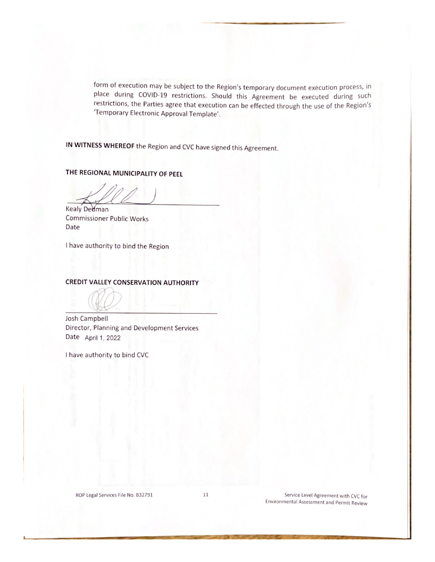form of execution may be subject to the Region's temporary document execution process, in place during COVID-19 restrictions. Should this Agreement be executed during such restrictions, the Parties agree that execution can be effected through the use of the Region's 'Temporary Electronic Approval Template'.

IN WITNESS WHEREOF the Region and CVC have signed this Agreement.

THE REGIONAL MUNICIPALITY OF PEEL

Kealy Dedman **Commissioner Public Works** Date

I have authority to bind the Region

#### **CREDIT VALLEY CONSERVATION AUTHORITY**

Josh Campbell Director, Planning and Development Services Date April 1, 2022

I have authority to bind CVC

ROP Legal Services File No. B32791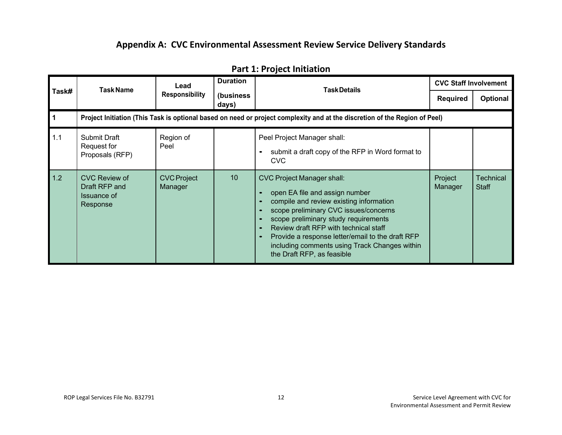# **Appendix A: CVC Environmental Assessment Review Service Delivery Standards**

|                | <b>Task Name</b>                                                                                                           | Lead                          | <b>Duration</b>    | <b>Task Details</b>                                                                                                                                                                                                                                                                                                                                                         | <b>CVC Staff Involvement</b> |                           |  |  |
|----------------|----------------------------------------------------------------------------------------------------------------------------|-------------------------------|--------------------|-----------------------------------------------------------------------------------------------------------------------------------------------------------------------------------------------------------------------------------------------------------------------------------------------------------------------------------------------------------------------------|------------------------------|---------------------------|--|--|
| Task#          |                                                                                                                            | <b>Responsibility</b>         | (business<br>days) |                                                                                                                                                                                                                                                                                                                                                                             | Required                     | <b>Optional</b>           |  |  |
| $\overline{1}$ | Project Initiation (This Task is optional based on need or project complexity and at the discretion of the Region of Peel) |                               |                    |                                                                                                                                                                                                                                                                                                                                                                             |                              |                           |  |  |
| 1.1            | <b>Submit Draft</b><br>Request for<br>Proposals (RFP)                                                                      | Region of<br>Peel             |                    | Peel Project Manager shall:<br>submit a draft copy of the RFP in Word format to<br><b>CVC</b>                                                                                                                                                                                                                                                                               |                              |                           |  |  |
| 1.2            | CVC Review of<br>Draft RFP and<br>Issuance of<br>Response                                                                  | <b>CVC Project</b><br>Manager | 10                 | <b>CVC Project Manager shall:</b><br>open EA file and assign number<br>compile and review existing information<br>scope preliminary CVC issues/concerns<br>scope preliminary study requirements<br>Review draft RFP with technical staff<br>Provide a response letter/email to the draft RFP<br>including comments using Track Changes within<br>the Draft RFP, as feasible | Project<br>Manager           | Technical<br><b>Staff</b> |  |  |

# <span id="page-11-0"></span>**Part 1: Project Initiation**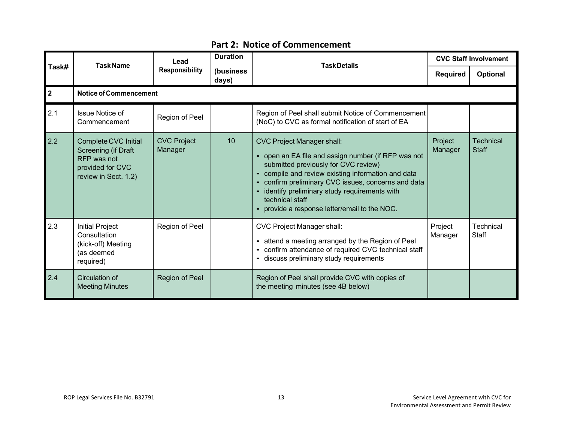|              | <b>Task Name</b>                                                                                       | Lead                          | <b>Duration</b>     | <b>Task Details</b>                                                                                                                                                                                                                                                                                                                                                 | <b>CVC Staff Involvement</b> |                           |
|--------------|--------------------------------------------------------------------------------------------------------|-------------------------------|---------------------|---------------------------------------------------------------------------------------------------------------------------------------------------------------------------------------------------------------------------------------------------------------------------------------------------------------------------------------------------------------------|------------------------------|---------------------------|
| Task#        |                                                                                                        | <b>Responsibility</b>         | (business)<br>days) |                                                                                                                                                                                                                                                                                                                                                                     | <b>Required</b>              | <b>Optional</b>           |
| $\mathbf{2}$ | <b>Notice of Commencement</b>                                                                          |                               |                     |                                                                                                                                                                                                                                                                                                                                                                     |                              |                           |
| 2.1          | <b>Issue Notice of</b><br>Commencement                                                                 | Region of Peel                |                     | Region of Peel shall submit Notice of Commencement<br>(NoC) to CVC as formal notification of start of EA                                                                                                                                                                                                                                                            |                              |                           |
| 2.2          | Complete CVC Initial<br>Screening (if Draft<br>RFP was not<br>provided for CVC<br>review in Sect. 1.2) | <b>CVC Project</b><br>Manager | 10                  | <b>CVC Project Manager shall:</b><br>• open an EA file and assign number (if RFP was not<br>submitted previously for CVC review)<br>• compile and review existing information and data<br>• confirm preliminary CVC issues, concerns and data<br>• identify preliminary study requirements with<br>technical staff<br>• provide a response letter/email to the NOC. | Project<br>Manager           | Technical<br><b>Staff</b> |
| 2.3          | <b>Initial Project</b><br>Consultation<br>(kick-off) Meeting<br>(as deemed<br>required)                | Region of Peel                |                     | <b>CVC Project Manager shall:</b><br>• attend a meeting arranged by the Region of Peel<br>• confirm attendance of required CVC technical staff<br>- discuss preliminary study requirements                                                                                                                                                                          | Project<br>Manager           | Technical<br>Staff        |
| 2.4          | Circulation of<br><b>Meeting Minutes</b>                                                               | Region of Peel                |                     | Region of Peel shall provide CVC with copies of<br>the meeting minutes (see 4B below)                                                                                                                                                                                                                                                                               |                              |                           |

# **Part 2: Notice of Commencement**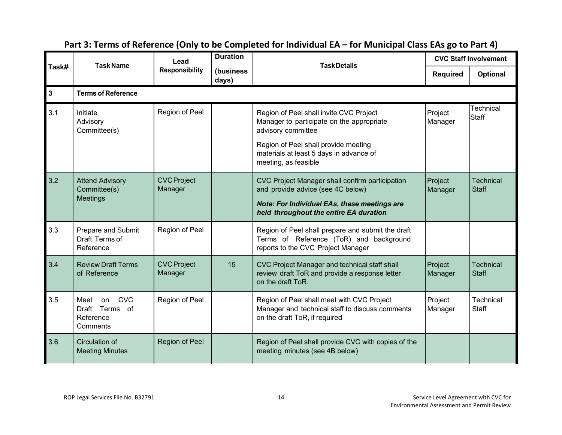|              | <b>Task Name</b>                                                       | Lead                          | <b>Duration</b>    | <b>TaskDetails</b>                                                                                                                                                                                                    |                    | <b>CVC Staff Involvement</b> |
|--------------|------------------------------------------------------------------------|-------------------------------|--------------------|-----------------------------------------------------------------------------------------------------------------------------------------------------------------------------------------------------------------------|--------------------|------------------------------|
| Task#        |                                                                        | <b>Responsibility</b>         | (business<br>days) |                                                                                                                                                                                                                       | <b>Required</b>    | Optional                     |
| $\mathbf{3}$ | <b>Terms of Reference</b>                                              |                               |                    |                                                                                                                                                                                                                       |                    |                              |
| 3.1          | Initiate<br>Advisory<br>Committee(s)                                   | Region of Peel                |                    | Region of Peel shall invite CVC Project<br>Manager to participate on the appropriate<br>advisory committee<br>Region of Peel shall provide meeting<br>materials at least 5 days in advance of<br>meeting, as feasible | Project<br>Manager | Technical<br>Staff           |
| 3.2          | <b>Attend Advisory</b><br>Committee(s)<br>Meetings                     | <b>CVC Project</b><br>Manager |                    | CVC Project Manager shall confirm participation<br>and provide advice (see 4C below)<br>Note: For Individual EAs, these meetings are<br>held throughout the entire EA duration                                        | Project<br>Manager | <b>Technical</b><br>Staff    |
| 3.3          | Prepare and Submit<br>Draft Terms of<br>Reference                      | Region of Peel                |                    | Region of Peel shall prepare and submit the draft<br>Terms of Reference (ToR) and background<br>reports to the CVC Project Manager                                                                                    |                    |                              |
| 3.4          | <b>Review Draft Terms</b><br>of Reference                              | <b>CVC Project</b><br>Manager | 15                 | CVC Project Manager and technical staff shall<br>review draft ToR and provide a response letter<br>on the draft ToR.                                                                                                  | Project<br>Manager | <b>Technical</b><br>Staff    |
| 3.5          | <b>CVC</b><br>Meet<br>on<br>Draft Terms<br>of<br>Reference<br>Comments | Region of Peel                |                    | Region of Peel shall meet with CVC Project<br>Manager and technical staff to discuss comments<br>on the draft ToR, if required                                                                                        | Project<br>Manager | Technical<br>Staff           |
| 3.6          | Circulation of<br><b>Meeting Minutes</b>                               | Region of Peel                |                    | Region of Peel shall provide CVC with copies of the<br>meeting minutes (see 4B below)                                                                                                                                 |                    |                              |

# **Part 3: Terms of Reference (Only to be Completed for Individual EA – for Municipal Class EAs go to Part 4)**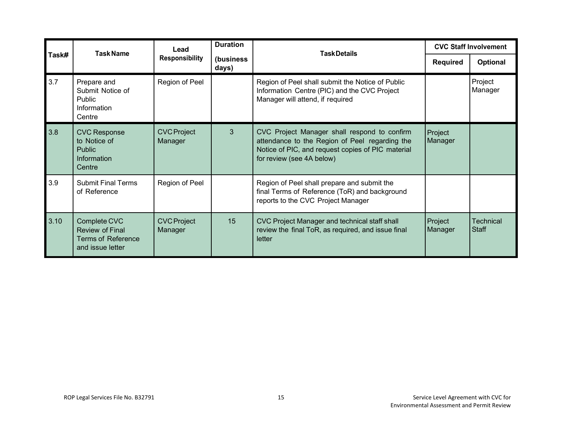|       | <b>Task Name</b>                                                                 | Lead                          | <b>Duration</b>     | <b>Task Details</b>                                                                                                                                                              | <b>CVC Staff Involvement</b> |                                  |
|-------|----------------------------------------------------------------------------------|-------------------------------|---------------------|----------------------------------------------------------------------------------------------------------------------------------------------------------------------------------|------------------------------|----------------------------------|
| Task# |                                                                                  | <b>Responsibility</b>         | (business)<br>days) |                                                                                                                                                                                  | <b>Required</b>              | Optional                         |
| 3.7   | Prepare and<br>Submit Notice of<br><b>Public</b><br>Information<br>Centre        | Region of Peel                |                     | Region of Peel shall submit the Notice of Public<br>Information Centre (PIC) and the CVC Project<br>Manager will attend, if required                                             |                              | Project<br>Manager               |
| 3.8   | <b>CVC Response</b><br>to Notice of<br><b>Public</b><br>Information<br>Centre    | <b>CVC Project</b><br>Manager | 3                   | CVC Project Manager shall respond to confirm<br>attendance to the Region of Peel regarding the<br>Notice of PIC, and request copies of PIC material<br>for review (see 4A below) | Project<br>Manager           |                                  |
| 3.9   | <b>Submit Final Terms</b><br>of Reference                                        | Region of Peel                |                     | Region of Peel shall prepare and submit the<br>final Terms of Reference (ToR) and background<br>reports to the CVC Project Manager                                               |                              |                                  |
| 3.10  | Complete CVC<br>Review of Final<br><b>Terms of Reference</b><br>and issue letter | <b>CVC Project</b><br>Manager | 15                  | CVC Project Manager and technical staff shall<br>review the final ToR, as required, and issue final<br>letter                                                                    | Project<br>Manager           | <b>Technical</b><br><b>Staff</b> |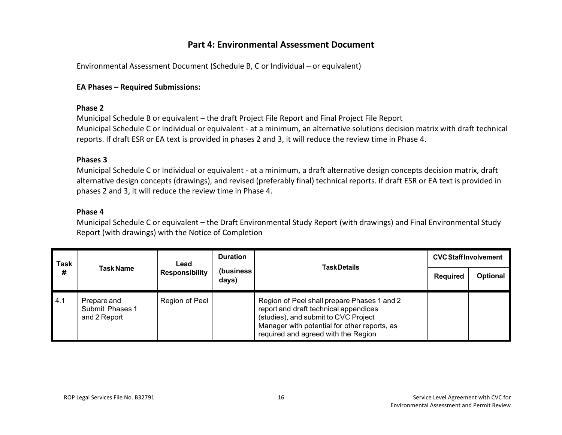# **Part 4: Environmental Assessment Document**

Environmental Assessment Document (Schedule B, C or Individual – or equivalent)

#### **EA Phases – Required Submissions:**

#### **Phase 2**

Municipal Schedule B or equivalent – the draft Project File Report and Final Project File Report Municipal Schedule C or Individual or equivalent - at a minimum, an alternative solutions decision matrix with draft technical reports. If draft ESR or EA text is provided in phases 2 and 3, it will reduce the review time in Phase 4.

#### **Phases 3**

Municipal Schedule C or Individual or equivalent - at a minimum, a draft alternative design concepts decision matrix, draft alternative design concepts (drawings), and revised (preferably final) technical reports. If draft ESR or EA text is provided in phases 2 and 3, it will reduce the review time in Phase 4.

#### **Phase 4**

Municipal Schedule C or equivalent – the Draft Environmental Study Report (with drawings) and Final Environmental Study Report (with drawings) with the Notice of Completion

| <b>Task</b><br># | Task Name                                      | Lead<br><b>Responsibility</b> | <b>Duration</b>     | <b>Task Details</b>                                                                                                                                                                                                 | <b>CVC Staff Involvement</b> |          |
|------------------|------------------------------------------------|-------------------------------|---------------------|---------------------------------------------------------------------------------------------------------------------------------------------------------------------------------------------------------------------|------------------------------|----------|
|                  |                                                |                               | (business)<br>days) |                                                                                                                                                                                                                     | <b>Required</b>              | Optional |
| 4.1              | Prepare and<br>Submit Phases 1<br>and 2 Report | Region of Peel                |                     | Region of Peel shall prepare Phases 1 and 2<br>report and draft technical appendices<br>(studies), and submit to CVC Project<br>Manager with potential for other reports, as<br>required and agreed with the Region |                              |          |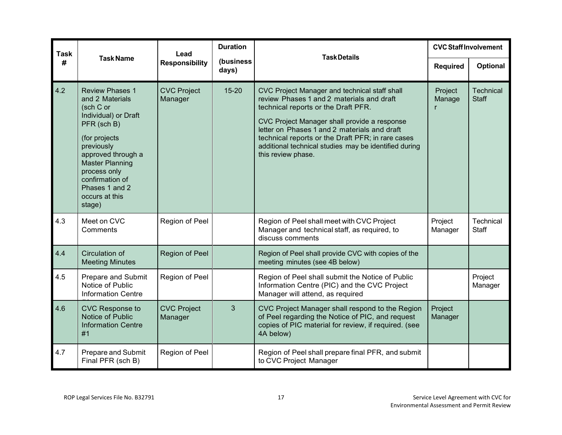| <b>Task</b> | <b>Task Name</b>                                                                                                                                                                                                                                              | Lead                          | <b>Duration</b>    | <b>TaskDetails</b>                                                                                                                                                                                                                                                                                                                                                    | <b>CVC Staff Involvement</b> |                                  |
|-------------|---------------------------------------------------------------------------------------------------------------------------------------------------------------------------------------------------------------------------------------------------------------|-------------------------------|--------------------|-----------------------------------------------------------------------------------------------------------------------------------------------------------------------------------------------------------------------------------------------------------------------------------------------------------------------------------------------------------------------|------------------------------|----------------------------------|
| #           |                                                                                                                                                                                                                                                               | <b>Responsibility</b>         | (business<br>days) |                                                                                                                                                                                                                                                                                                                                                                       | <b>Required</b>              | <b>Optional</b>                  |
| 4.2         | <b>Review Phases 1</b><br>and 2 Materials<br>(sch C or<br>Individual) or Draft<br>PFR (sch B)<br>(for projects<br>previously<br>approved through a<br><b>Master Planning</b><br>process only<br>confirmation of<br>Phases 1 and 2<br>occurs at this<br>stage) | <b>CVC Project</b><br>Manager | $15 - 20$          | CVC Project Manager and technical staff shall<br>review Phases 1 and 2 materials and draft<br>technical reports or the Draft PFR.<br>CVC Project Manager shall provide a response<br>letter on Phases 1 and 2 materials and draft<br>technical reports or the Draft PFR; in rare cases<br>additional technical studies may be identified during<br>this review phase. | Project<br>Manage            | <b>Technical</b><br><b>Staff</b> |
| 4.3         | Meet on CVC<br>Comments                                                                                                                                                                                                                                       | Region of Peel                |                    | Region of Peel shall meet with CVC Project<br>Manager and technical staff, as required, to<br>discuss comments                                                                                                                                                                                                                                                        | Project<br>Manager           | Technical<br>Staff               |
| 4.4         | Circulation of<br><b>Meeting Minutes</b>                                                                                                                                                                                                                      | Region of Peel                |                    | Region of Peel shall provide CVC with copies of the<br>meeting minutes (see 4B below)                                                                                                                                                                                                                                                                                 |                              |                                  |
| 4.5         | <b>Prepare and Submit</b><br>Notice of Public<br><b>Information Centre</b>                                                                                                                                                                                    | Region of Peel                |                    | Region of Peel shall submit the Notice of Public<br>Information Centre (PIC) and the CVC Project<br>Manager will attend, as required                                                                                                                                                                                                                                  |                              | Project<br>Manager               |
| 4.6         | <b>CVC Response to</b><br>Notice of Public<br><b>Information Centre</b><br>#1                                                                                                                                                                                 | <b>CVC Project</b><br>Manager | 3                  | CVC Project Manager shall respond to the Region<br>of Peel regarding the Notice of PIC, and request<br>copies of PIC material for review, if required. (see<br>4A below)                                                                                                                                                                                              | Project<br>Manager           |                                  |
| 4.7         | Prepare and Submit<br>Final PFR (sch B)                                                                                                                                                                                                                       | Region of Peel                |                    | Region of Peel shall prepare final PFR, and submit<br>to CVC Project Manager                                                                                                                                                                                                                                                                                          |                              |                                  |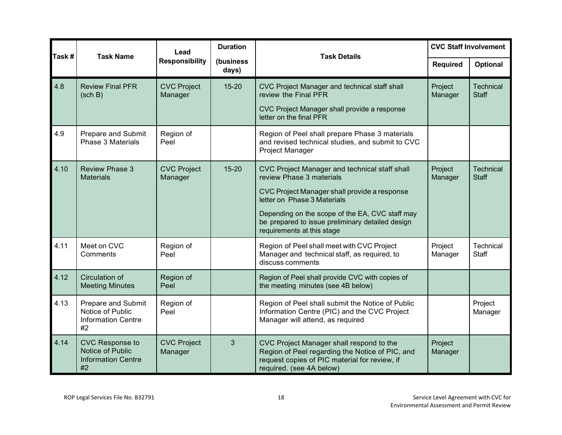|       | <b>Task Name</b>                                                                 | Lead                          | <b>Duration</b>    | <b>Task Details</b>                                                                                                                                                                                                                                                                           | <b>CVC Staff Involvement</b> |                                  |
|-------|----------------------------------------------------------------------------------|-------------------------------|--------------------|-----------------------------------------------------------------------------------------------------------------------------------------------------------------------------------------------------------------------------------------------------------------------------------------------|------------------------------|----------------------------------|
| Task# |                                                                                  | <b>Responsibility</b>         | (business<br>days) |                                                                                                                                                                                                                                                                                               | <b>Required</b>              | Optional                         |
| 4.8   | <b>Review Final PFR</b><br>(sch B)                                               | <b>CVC Project</b><br>Manager | $15 - 20$          | CVC Project Manager and technical staff shall<br>review the Final PFR<br>CVC Project Manager shall provide a response<br>letter on the final PFR                                                                                                                                              | Project<br>Manager           | Technical<br><b>Staff</b>        |
| 4.9   | Prepare and Submit<br><b>Phase 3 Materials</b>                                   | Region of<br>Peel             |                    | Region of Peel shall prepare Phase 3 materials<br>and revised technical studies, and submit to CVC<br>Project Manager                                                                                                                                                                         |                              |                                  |
| 4.10  | <b>Review Phase 3</b><br><b>Materials</b>                                        | <b>CVC Project</b><br>Manager | $15 - 20$          | CVC Project Manager and technical staff shall<br>review Phase 3 materials<br>CVC Project Manager shall provide a response<br>letter on Phase 3 Materials<br>Depending on the scope of the EA, CVC staff may<br>be prepared to issue preliminary detailed design<br>requirements at this stage | Project<br>Manager           | <b>Technical</b><br><b>Staff</b> |
| 4.11  | Meet on CVC<br>Comments                                                          | Region of<br>Peel             |                    | Region of Peel shall meet with CVC Project<br>Manager and technical staff, as required, to<br>discuss comments                                                                                                                                                                                | Project<br>Manager           | Technical<br><b>Staff</b>        |
| 4.12  | Circulation of<br><b>Meeting Minutes</b>                                         | Region of<br>Peel             |                    | Region of Peel shall provide CVC with copies of<br>the meeting minutes (see 4B below)                                                                                                                                                                                                         |                              |                                  |
| 4.13  | <b>Prepare and Submit</b><br>Notice of Public<br><b>Information Centre</b><br>#2 | Region of<br>Peel             |                    | Region of Peel shall submit the Notice of Public<br>Information Centre (PIC) and the CVC Project<br>Manager will attend, as required                                                                                                                                                          |                              | Project<br>Manager               |
| 4.14  | CVC Response to<br>Notice of Public<br><b>Information Centre</b><br>#2           | <b>CVC Project</b><br>Manager | 3                  | CVC Project Manager shall respond to the<br>Region of Peel regarding the Notice of PIC, and<br>request copies of PIC material for review, if<br>required. (see 4A below)                                                                                                                      | Project<br>Manager           |                                  |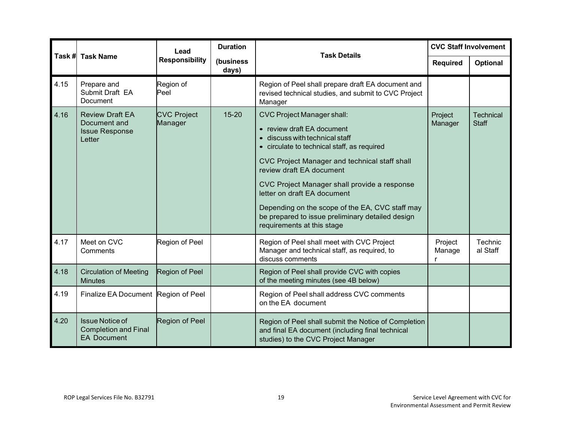|      |                                                                             | Lead                          | <b>Duration</b>    | <b>Task Details</b>                                                                                                                                                                                                                                                                                                                                                                                                                               | <b>CVC Staff Involvement</b> |                                  |
|------|-----------------------------------------------------------------------------|-------------------------------|--------------------|---------------------------------------------------------------------------------------------------------------------------------------------------------------------------------------------------------------------------------------------------------------------------------------------------------------------------------------------------------------------------------------------------------------------------------------------------|------------------------------|----------------------------------|
|      | Task # Task Name                                                            | <b>Responsibility</b>         | (business<br>days) |                                                                                                                                                                                                                                                                                                                                                                                                                                                   | <b>Required</b>              | <b>Optional</b>                  |
| 4.15 | Prepare and<br>Submit Draft EA<br><b>Document</b>                           | Region of<br>Peel             |                    | Region of Peel shall prepare draft EA document and<br>revised technical studies, and submit to CVC Project<br>Manager                                                                                                                                                                                                                                                                                                                             |                              |                                  |
| 4.16 | <b>Review Draft EA</b><br>Document and<br><b>Issue Response</b><br>Letter   | <b>CVC Project</b><br>Manager | $15 - 20$          | <b>CVC Project Manager shall:</b><br>• review draft EA document<br>• discuss with technical staff<br>• circulate to technical staff, as required<br>CVC Project Manager and technical staff shall<br>review draft EA document<br>CVC Project Manager shall provide a response<br>letter on draft EA document<br>Depending on the scope of the EA, CVC staff may<br>be prepared to issue preliminary detailed design<br>requirements at this stage | Project<br>Manager           | <b>Technical</b><br><b>Staff</b> |
| 4.17 | Meet on CVC<br>Comments                                                     | Region of Peel                |                    | Region of Peel shall meet with CVC Project<br>Manager and technical staff, as required, to<br>discuss comments                                                                                                                                                                                                                                                                                                                                    | Project<br>Manage            | Technic<br>al Staff              |
| 4.18 | <b>Circulation of Meeting</b><br><b>Minutes</b>                             | Region of Peel                |                    | Region of Peel shall provide CVC with copies<br>of the meeting minutes (see 4B below)                                                                                                                                                                                                                                                                                                                                                             |                              |                                  |
| 4.19 | Finalize EA Document Region of Peel                                         |                               |                    | Region of Peel shall address CVC comments<br>on the EA document                                                                                                                                                                                                                                                                                                                                                                                   |                              |                                  |
| 4.20 | <b>Issue Notice of</b><br><b>Completion and Final</b><br><b>EA Document</b> | Region of Peel                |                    | Region of Peel shall submit the Notice of Completion<br>and final EA document (including final technical<br>studies) to the CVC Project Manager                                                                                                                                                                                                                                                                                                   |                              |                                  |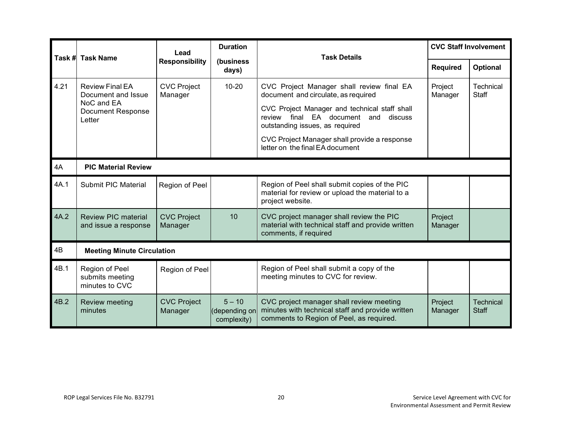|      |                                                                                                  | Lead                          | <b>Duration</b>                         | <b>Task Details</b>                                                                                                                                                                                                                                                                             | <b>CVC Staff Involvement</b> |                                  |  |  |
|------|--------------------------------------------------------------------------------------------------|-------------------------------|-----------------------------------------|-------------------------------------------------------------------------------------------------------------------------------------------------------------------------------------------------------------------------------------------------------------------------------------------------|------------------------------|----------------------------------|--|--|
|      | Task # Task Name                                                                                 | <b>Responsibility</b>         | (business<br>days)                      |                                                                                                                                                                                                                                                                                                 | <b>Required</b>              | Optional                         |  |  |
| 4.21 | <b>Review Final EA</b><br>Document and Issue<br>NoC and EA<br><b>Document Response</b><br>Letter | <b>CVC Project</b><br>Manager | $10 - 20$                               | CVC Project Manager shall review final EA<br>document and circulate, as required<br>CVC Project Manager and technical staff shall<br>review final EA document and discuss<br>outstanding issues, as required<br>CVC Project Manager shall provide a response<br>letter on the final EA document | Project<br>Manager           | Technical<br><b>Staff</b>        |  |  |
| 4A   | <b>PIC Material Review</b>                                                                       |                               |                                         |                                                                                                                                                                                                                                                                                                 |                              |                                  |  |  |
| 4A.1 | <b>Submit PIC Material</b>                                                                       | Region of Peel                |                                         | Region of Peel shall submit copies of the PIC<br>material for review or upload the material to a<br>project website.                                                                                                                                                                            |                              |                                  |  |  |
| 4A.2 | <b>Review PIC material</b><br>and issue a response                                               | <b>CVC Project</b><br>Manager | 10                                      | CVC project manager shall review the PIC<br>material with technical staff and provide written<br>comments, if required                                                                                                                                                                          | Project<br>Manager           |                                  |  |  |
| 4B   | <b>Meeting Minute Circulation</b>                                                                |                               |                                         |                                                                                                                                                                                                                                                                                                 |                              |                                  |  |  |
| 4B.1 | Region of Peel<br>submits meeting<br>minutes to CVC                                              | Region of Peel                |                                         | Region of Peel shall submit a copy of the<br>meeting minutes to CVC for review.                                                                                                                                                                                                                 |                              |                                  |  |  |
| 4B.2 | <b>Review meeting</b><br>minutes                                                                 | <b>CVC Project</b><br>Manager | $5 - 10$<br>depending on<br>complexity) | CVC project manager shall review meeting<br>minutes with technical staff and provide written<br>comments to Region of Peel, as required.                                                                                                                                                        | Project<br>Manager           | <b>Technical</b><br><b>Staff</b> |  |  |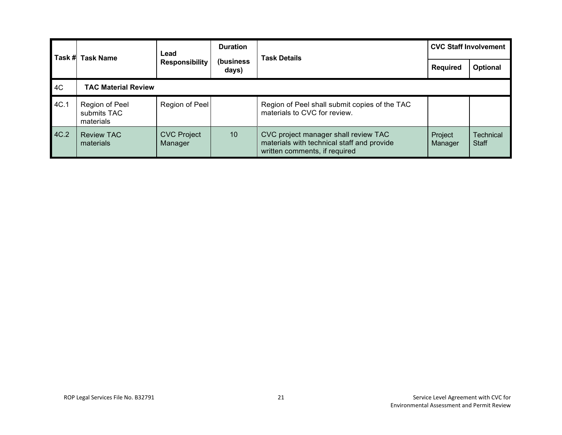| l Task #l | <b>Task Name</b>                           | Lead<br><b>Responsibility</b> | <b>Duration</b><br><b>Task Details</b><br>(business<br>days) | <b>CVC Staff Involvement</b>                                                                                        |                    |                                  |
|-----------|--------------------------------------------|-------------------------------|--------------------------------------------------------------|---------------------------------------------------------------------------------------------------------------------|--------------------|----------------------------------|
|           |                                            |                               |                                                              |                                                                                                                     | <b>Required</b>    | <b>Optional</b>                  |
| 4C        | <b>TAC Material Review</b>                 |                               |                                                              |                                                                                                                     |                    |                                  |
| 4C.1      | Region of Peel<br>submits TAC<br>materials | Region of Peel                |                                                              | Region of Peel shall submit copies of the TAC<br>materials to CVC for review.                                       |                    |                                  |
| 4C.2      | <b>Review TAC</b><br>materials             | <b>CVC Project</b><br>Manager | 10                                                           | CVC project manager shall review TAC<br>materials with technical staff and provide<br>written comments, if required | Project<br>Manager | <b>Technical</b><br><b>Staff</b> |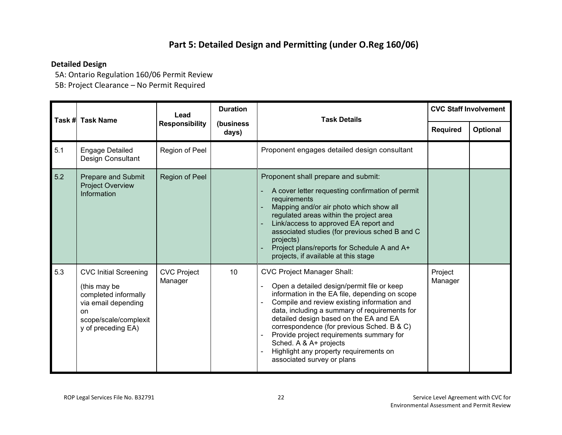# **Part 5: Detailed Design and Permitting (under O.Reg 160/06)**

# **Detailed Design**

5A: Ontario Regulation 160/06 Permit Review

5B: Project Clearance – No Permit Required

|     | Task # Task Name                                                                                                                                 | Lead                          | <b>Duration</b>    | <b>Task Details</b>                                                                                                                                                                                                                                                                                                                                                                                                                                                     | <b>CVC Staff Involvement</b> |          |
|-----|--------------------------------------------------------------------------------------------------------------------------------------------------|-------------------------------|--------------------|-------------------------------------------------------------------------------------------------------------------------------------------------------------------------------------------------------------------------------------------------------------------------------------------------------------------------------------------------------------------------------------------------------------------------------------------------------------------------|------------------------------|----------|
|     |                                                                                                                                                  | <b>Responsibility</b>         | (business<br>days) |                                                                                                                                                                                                                                                                                                                                                                                                                                                                         | <b>Required</b>              | Optional |
| 5.1 | <b>Engage Detailed</b><br>Design Consultant                                                                                                      | Region of Peel                |                    | Proponent engages detailed design consultant                                                                                                                                                                                                                                                                                                                                                                                                                            |                              |          |
| 5.2 | <b>Prepare and Submit</b><br><b>Project Overview</b><br>Information                                                                              | <b>Region of Peel</b>         |                    | Proponent shall prepare and submit:<br>A cover letter requesting confirmation of permit<br>requirements<br>Mapping and/or air photo which show all<br>regulated areas within the project area<br>Link/access to approved EA report and<br>associated studies (for previous sched B and C<br>projects)<br>Project plans/reports for Schedule A and A+<br>projects, if available at this stage                                                                            |                              |          |
| 5.3 | <b>CVC Initial Screening</b><br>(this may be<br>completed informally<br>via email depending<br>on<br>scope/scale/complexit<br>y of preceding EA) | <b>CVC Project</b><br>Manager | 10                 | <b>CVC Project Manager Shall:</b><br>Open a detailed design/permit file or keep<br>information in the EA file, depending on scope<br>Compile and review existing information and<br>data, including a summary of requirements for<br>detailed design based on the EA and EA<br>correspondence (for previous Sched. B & C)<br>Provide project requirements summary for<br>Sched. A & A+ projects<br>Highlight any property requirements on<br>associated survey or plans | Project<br>Manager           |          |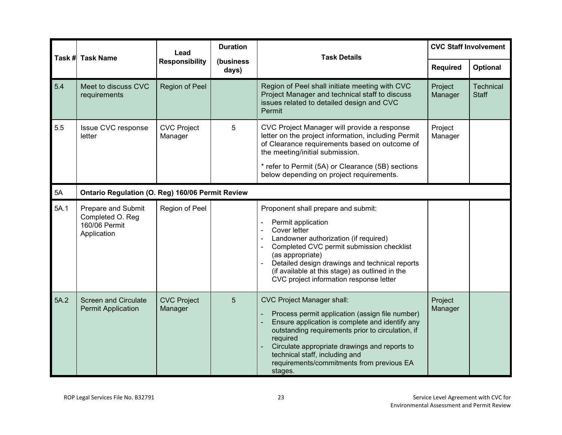| Task # | <b>Task Name</b>                                                       | Lead                          | <b>Duration</b>    | <b>Task Details</b>                                                                                                                                                                                                                                                                                                                                                   | <b>CVC Staff Involvement</b> |                           |  |  |
|--------|------------------------------------------------------------------------|-------------------------------|--------------------|-----------------------------------------------------------------------------------------------------------------------------------------------------------------------------------------------------------------------------------------------------------------------------------------------------------------------------------------------------------------------|------------------------------|---------------------------|--|--|
|        |                                                                        | <b>Responsibility</b>         | (business<br>days) |                                                                                                                                                                                                                                                                                                                                                                       | Required                     | Optional                  |  |  |
| 5.4    | Meet to discuss CVC<br>requirements                                    | Region of Peel                |                    | Region of Peel shall initiate meeting with CVC<br>Project Manager and technical staff to discuss<br>issues related to detailed design and CVC<br>Permit                                                                                                                                                                                                               | Project<br>Manager           | Technical<br><b>Staff</b> |  |  |
| 5.5    | Issue CVC response<br>letter                                           | <b>CVC Project</b><br>Manager | 5                  | CVC Project Manager will provide a response<br>letter on the project information, including Permit<br>of Clearance requirements based on outcome of<br>the meeting/initial submission.                                                                                                                                                                                | Project<br>Manager           |                           |  |  |
|        |                                                                        |                               |                    | * refer to Permit (5A) or Clearance (5B) sections<br>below depending on project requirements.                                                                                                                                                                                                                                                                         |                              |                           |  |  |
| 5A     | Ontario Regulation (O. Reg) 160/06 Permit Review                       |                               |                    |                                                                                                                                                                                                                                                                                                                                                                       |                              |                           |  |  |
| 5A.1   | Prepare and Submit<br>Completed O. Reg<br>160/06 Permit<br>Application | Region of Peel                |                    | Proponent shall prepare and submit:<br>Permit application<br>Cover letter<br>Landowner authorization (if required)<br>Completed CVC permit submission checklist<br>$\blacksquare$<br>(as appropriate)<br>Detailed design drawings and technical reports<br>(if available at this stage) as outlined in the<br>CVC project information response letter                 |                              |                           |  |  |
| 5A.2   | <b>Screen and Circulate</b><br><b>Permit Application</b>               | <b>CVC Project</b><br>Manager | 5                  | <b>CVC Project Manager shall:</b><br>Process permit application (assign file number)<br>$\blacksquare$<br>Ensure application is complete and identify any<br>outstanding requirements prior to circulation, if<br>required<br>Circulate appropriate drawings and reports to<br>technical staff, including and<br>requirements/commitments from previous EA<br>stages. | Project<br>Manager           |                           |  |  |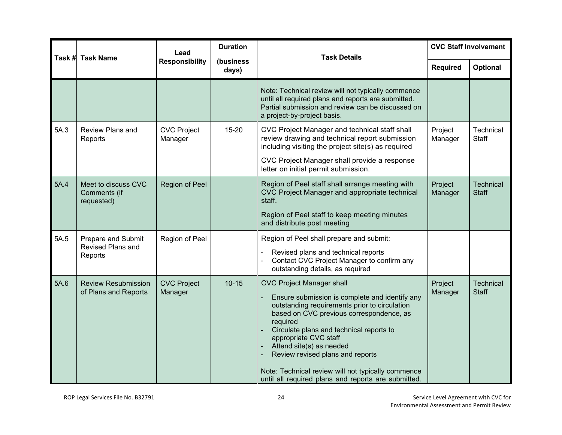| Task # | <b>Task Name</b>                                          | Lead                          | <b>Duration</b> | <b>Task Details</b>                                                                                                                                                                                                                                                                                                                                                                                                                           | <b>CVC Staff Involvement</b> |                                  |
|--------|-----------------------------------------------------------|-------------------------------|-----------------|-----------------------------------------------------------------------------------------------------------------------------------------------------------------------------------------------------------------------------------------------------------------------------------------------------------------------------------------------------------------------------------------------------------------------------------------------|------------------------------|----------------------------------|
|        | <b>Responsibility</b><br>(business<br>days)               |                               | <b>Required</b> | Optional                                                                                                                                                                                                                                                                                                                                                                                                                                      |                              |                                  |
|        |                                                           |                               |                 | Note: Technical review will not typically commence<br>until all required plans and reports are submitted.<br>Partial submission and review can be discussed on<br>a project-by-project basis.                                                                                                                                                                                                                                                 |                              |                                  |
| 5A.3   | <b>Review Plans and</b><br>Reports                        | <b>CVC Project</b><br>Manager | 15-20           | CVC Project Manager and technical staff shall<br>review drawing and technical report submission<br>including visiting the project site(s) as required<br>CVC Project Manager shall provide a response<br>letter on initial permit submission.                                                                                                                                                                                                 | Project<br>Manager           | Technical<br><b>Staff</b>        |
| 5A.4   | Meet to discuss CVC<br>Comments (if<br>requested)         | Region of Peel                |                 | Region of Peel staff shall arrange meeting with<br>CVC Project Manager and appropriate technical<br>staff.<br>Region of Peel staff to keep meeting minutes<br>and distribute post meeting                                                                                                                                                                                                                                                     | Project<br>Manager           | <b>Technical</b><br><b>Staff</b> |
| 5A.5   | Prepare and Submit<br><b>Revised Plans and</b><br>Reports | Region of Peel                |                 | Region of Peel shall prepare and submit:<br>Revised plans and technical reports<br>Contact CVC Project Manager to confirm any<br>outstanding details, as required                                                                                                                                                                                                                                                                             |                              |                                  |
| 5A.6   | <b>Review Resubmission</b><br>of Plans and Reports        | <b>CVC Project</b><br>Manager | $10 - 15$       | <b>CVC Project Manager shall</b><br>Ensure submission is complete and identify any<br>outstanding requirements prior to circulation<br>based on CVC previous correspondence, as<br>required<br>Circulate plans and technical reports to<br>appropriate CVC staff<br>Attend site(s) as needed<br>Review revised plans and reports<br>Note: Technical review will not typically commence<br>until all required plans and reports are submitted. | Project<br>Manager           | Technical<br><b>Staff</b>        |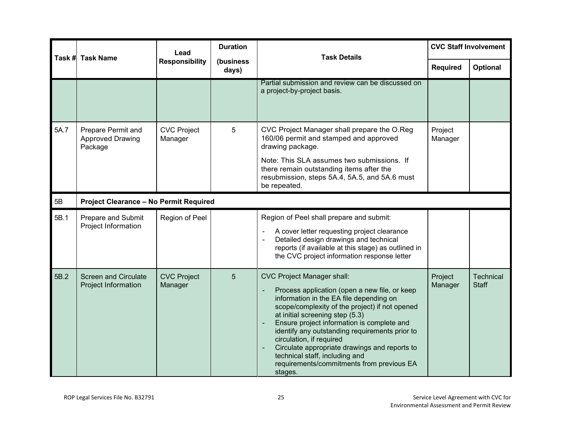|      | Task # Task Name                                                | Lead<br><b>Responsibility</b> | <b>Duration</b>    | <b>Task Details</b>                                                                                                                                                                                                                                                                                                                                                                                                                                                                                                                               | <b>CVC Staff Involvement</b> |                           |  |
|------|-----------------------------------------------------------------|-------------------------------|--------------------|---------------------------------------------------------------------------------------------------------------------------------------------------------------------------------------------------------------------------------------------------------------------------------------------------------------------------------------------------------------------------------------------------------------------------------------------------------------------------------------------------------------------------------------------------|------------------------------|---------------------------|--|
|      |                                                                 |                               | (business<br>days) |                                                                                                                                                                                                                                                                                                                                                                                                                                                                                                                                                   | <b>Required</b>              | Optional                  |  |
|      |                                                                 |                               |                    | Partial submission and review can be discussed on<br>a project-by-project basis.                                                                                                                                                                                                                                                                                                                                                                                                                                                                  |                              |                           |  |
| 5A.7 | <b>Prepare Permit and</b><br><b>Approved Drawing</b><br>Package | <b>CVC Project</b><br>Manager | 5                  | CVC Project Manager shall prepare the O.Reg<br>160/06 permit and stamped and approved<br>drawing package.                                                                                                                                                                                                                                                                                                                                                                                                                                         | Project<br>Manager           |                           |  |
|      |                                                                 |                               |                    | Note: This SLA assumes two submissions. If<br>there remain outstanding items after the<br>resubmission, steps 5A.4, 5A.5, and 5A.6 must<br>be repeated.                                                                                                                                                                                                                                                                                                                                                                                           |                              |                           |  |
| 5B   | <b>Project Clearance - No Permit Required</b>                   |                               |                    |                                                                                                                                                                                                                                                                                                                                                                                                                                                                                                                                                   |                              |                           |  |
| 5B.1 | Prepare and Submit<br>Project Information                       | Region of Peel                |                    | Region of Peel shall prepare and submit:<br>A cover letter requesting project clearance<br>Detailed design drawings and technical<br>$\ddot{\phantom{1}}$<br>reports (if available at this stage) as outlined in<br>the CVC project information response letter                                                                                                                                                                                                                                                                                   |                              |                           |  |
| 5B.2 | <b>Screen and Circulate</b><br>Project Information              | <b>CVC Project</b><br>Manager | 5                  | <b>CVC Project Manager shall:</b><br>Process application (open a new file, or keep<br>$\overline{\phantom{a}}$<br>information in the EA file depending on<br>scope/complexity of the project) if not opened<br>at initial screening step (5.3)<br>Ensure project information is complete and<br>$\overline{\phantom{a}}$<br>identify any outstanding requirements prior to<br>circulation, if required<br>Circulate appropriate drawings and reports to<br>technical staff, including and<br>requirements/commitments from previous EA<br>stages. | Project<br>Manager           | Technical<br><b>Staff</b> |  |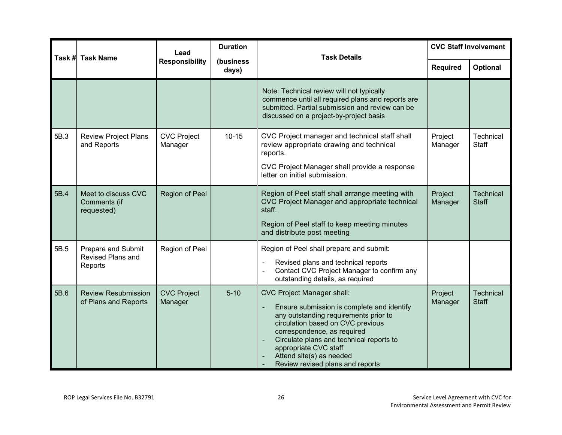| Task # | <b>Task Name</b>                                   | Lead                          | <b>Duration</b>    | <b>Task Details</b>                                                                                                                                                                                                                                                                                                                                                                       | <b>CVC Staff Involvement</b> |                                  |
|--------|----------------------------------------------------|-------------------------------|--------------------|-------------------------------------------------------------------------------------------------------------------------------------------------------------------------------------------------------------------------------------------------------------------------------------------------------------------------------------------------------------------------------------------|------------------------------|----------------------------------|
|        |                                                    | <b>Responsibility</b>         | (business<br>days) |                                                                                                                                                                                                                                                                                                                                                                                           | <b>Required</b>              | Optional                         |
|        |                                                    |                               |                    | Note: Technical review will not typically<br>commence until all required plans and reports are<br>submitted. Partial submission and review can be<br>discussed on a project-by-project basis                                                                                                                                                                                              |                              |                                  |
| 5B.3   | <b>Review Project Plans</b><br>and Reports         | <b>CVC Project</b><br>Manager | $10 - 15$          | CVC Project manager and technical staff shall<br>review appropriate drawing and technical<br>reports.<br>CVC Project Manager shall provide a response<br>letter on initial submission.                                                                                                                                                                                                    | Project<br>Manager           | Technical<br><b>Staff</b>        |
| 5B.4   | Meet to discuss CVC<br>Comments (if<br>requested)  | Region of Peel                |                    | Region of Peel staff shall arrange meeting with<br>CVC Project Manager and appropriate technical<br>staff.<br>Region of Peel staff to keep meeting minutes<br>and distribute post meeting                                                                                                                                                                                                 | Project<br>Manager           | Technical<br><b>Staff</b>        |
| 5B.5   | Prepare and Submit<br>Revised Plans and<br>Reports | Region of Peel                |                    | Region of Peel shall prepare and submit:<br>Revised plans and technical reports<br>Contact CVC Project Manager to confirm any<br>outstanding details, as required                                                                                                                                                                                                                         |                              |                                  |
| 5B.6   | <b>Review Resubmission</b><br>of Plans and Reports | <b>CVC Project</b><br>Manager | $5 - 10$           | <b>CVC Project Manager shall:</b><br>Ensure submission is complete and identify<br>$\overline{\phantom{a}}$<br>any outstanding requirements prior to<br>circulation based on CVC previous<br>correspondence, as required<br>Circulate plans and technical reports to<br>$\overline{\phantom{a}}$<br>appropriate CVC staff<br>Attend site(s) as needed<br>Review revised plans and reports | Project<br>Manager           | <b>Technical</b><br><b>Staff</b> |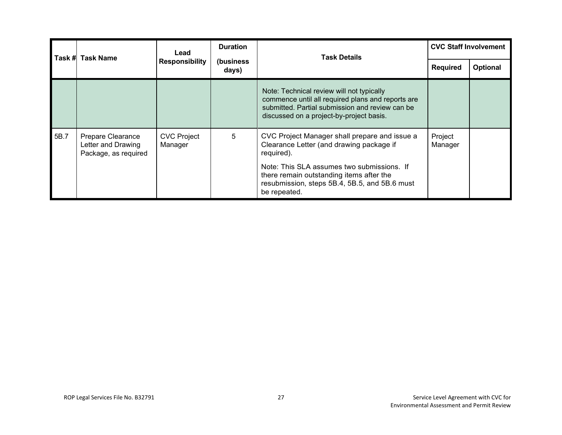|      | Task # Task Name                                                | <b>Duration</b><br>Lead       |                     | <b>Task Details</b>                                                                                                                                                                           | <b>CVC Staff Involvement</b> |          |
|------|-----------------------------------------------------------------|-------------------------------|---------------------|-----------------------------------------------------------------------------------------------------------------------------------------------------------------------------------------------|------------------------------|----------|
|      |                                                                 | <b>Responsibility</b>         | (business)<br>days) |                                                                                                                                                                                               | <b>Required</b>              | Optional |
|      |                                                                 |                               |                     | Note: Technical review will not typically<br>commence until all required plans and reports are<br>submitted. Partial submission and review can be<br>discussed on a project-by-project basis. |                              |          |
| 5B.7 | Prepare Clearance<br>Letter and Drawing<br>Package, as required | <b>CVC Project</b><br>Manager | 5                   | CVC Project Manager shall prepare and issue a<br>Clearance Letter (and drawing package if<br>required).                                                                                       | Project<br>Manager           |          |
|      |                                                                 |                               |                     | Note: This SLA assumes two submissions. If<br>there remain outstanding items after the<br>resubmission, steps 5B.4, 5B.5, and 5B.6 must<br>be repeated.                                       |                              |          |